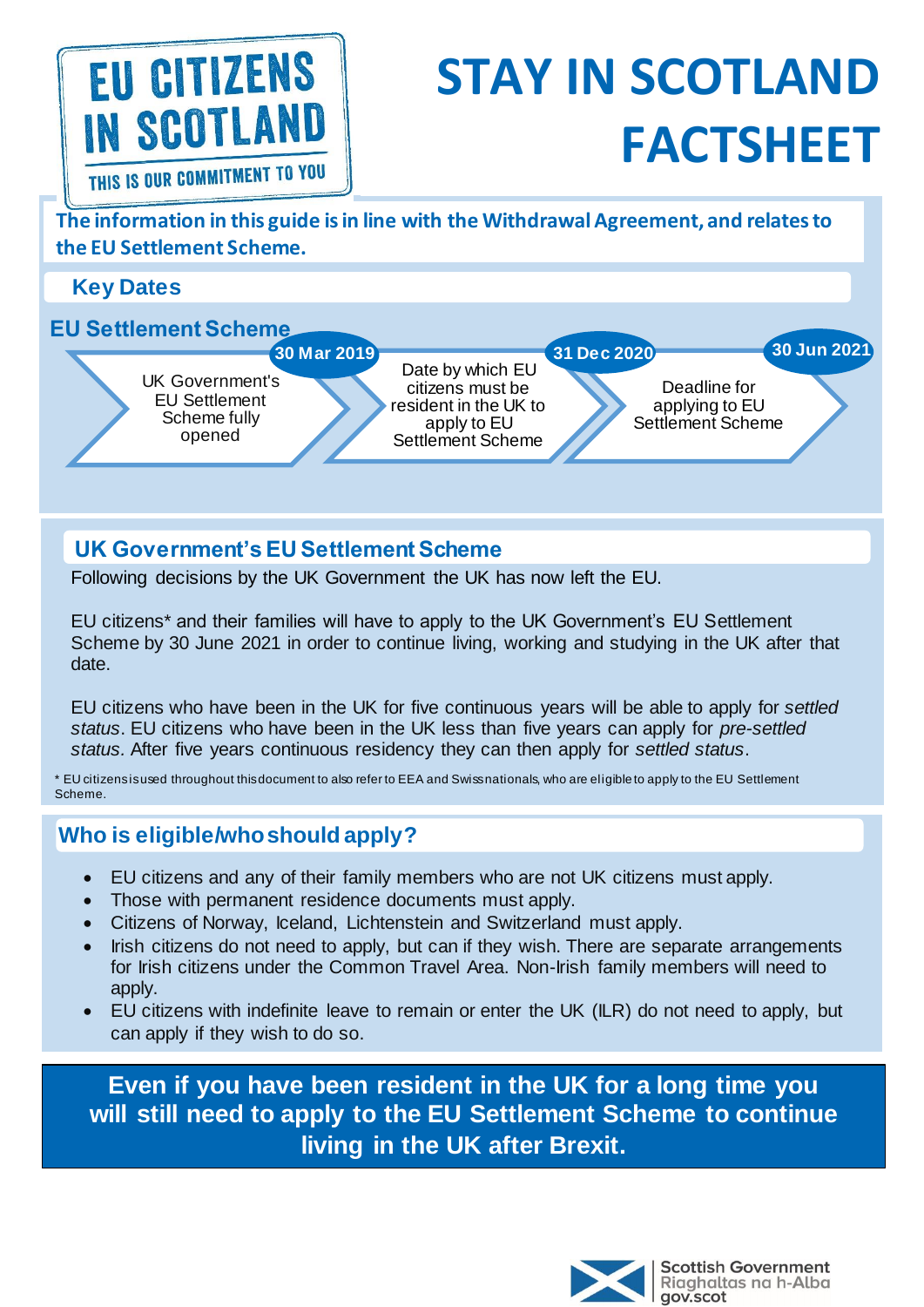# EU CITIZENS **IN SCOTLAN** THIS IS OUR COMMITMENT TO YOU

# **STAY IN SCOTLAND FACTSHEET**

**The information in this guide is in line with the Withdrawal Agreement, and relates to the EU Settlement Scheme.**

**Key Dates**

#### **EU Settlement Scheme**



Date by which EU citizens must be resident in the UK to apply to EU Settlement Scheme **31 Dec 2020 30 Jun 2021**

Deadline for applying to EU Settlement Scheme

## **UK Government's EU Settlement Scheme**

Following decisions by the UK Government the UK has now left the EU.

EU citizens\* and their families will have to apply to the UK Government's EU Settlement Scheme by 30 June 2021 in order to continue living, working and studying in the UK after that date.

EU citizens who have been in the UK for five continuous years will be able to apply for *settled status*. EU citizens who have been in the UK less than five years can apply for *pre-settled status.* After five years continuous residency they can then apply for *settled status*.

\* EU citizens is used throughout this document to also refer to EEA and Swiss nationals, who are eligible to apply to the EU Settlement Scheme.

## **Who is eligible/who should apply?**

- EU citizens and any of their family members who are not UK citizens must apply.
- Those with permanent residence documents must apply.
- Citizens of Norway, Iceland, Lichtenstein and Switzerland must apply.
- Irish citizens do not need to apply, but can if they wish. There are separate arrangements for Irish citizens under the Common Travel Area. Non-Irish family members will need to apply.
- EU citizens with indefinite leave to remain or enter the UK (ILR) do not need to apply, but can apply if they wish to do so.

**Even if you have been resident in the UK for a long time you will still need to apply to the EU Settlement Scheme to continue living in the UK after Brexit.**